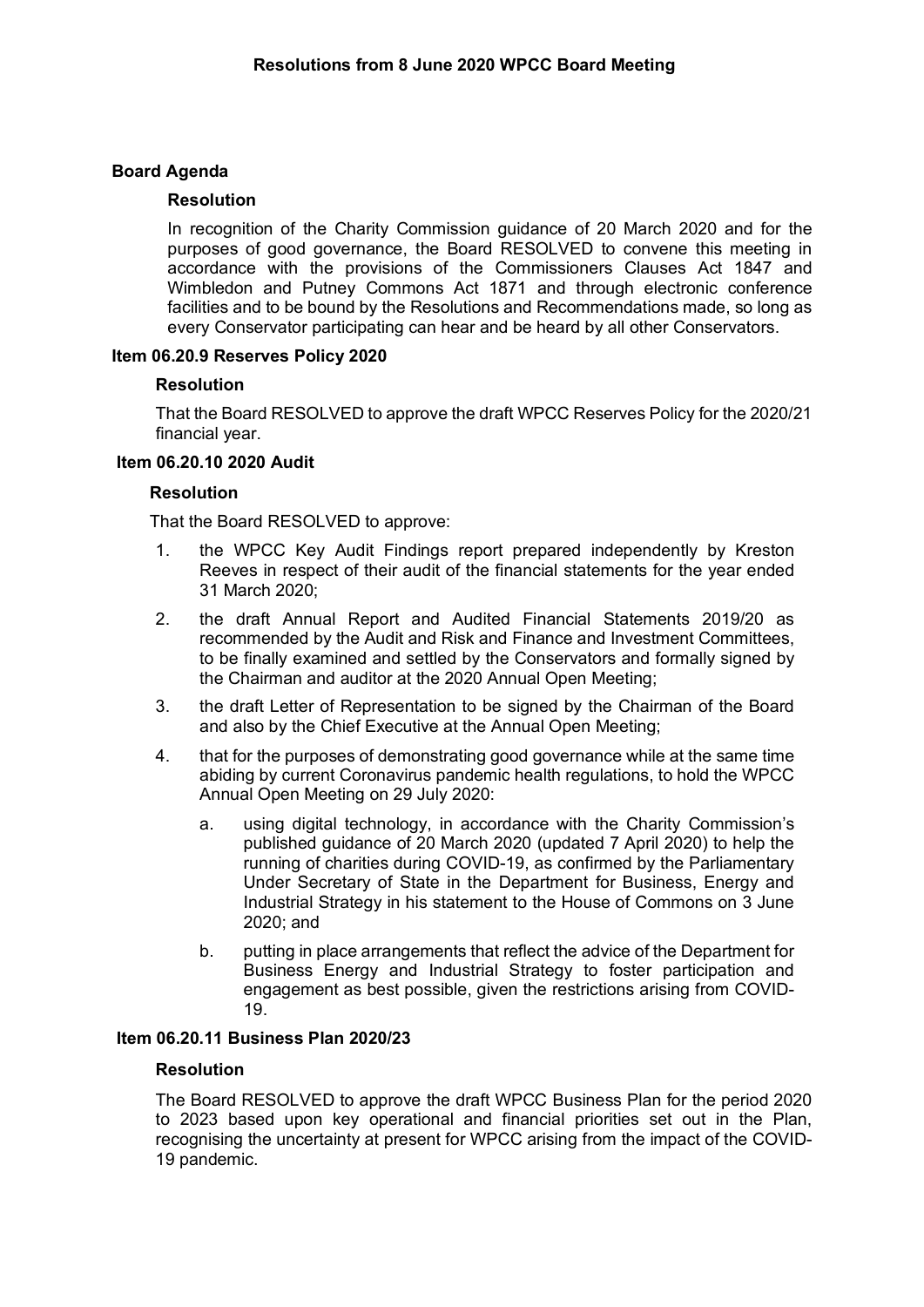# **Board Agenda**

### **Resolution**

In recognition of the Charity Commission guidance of 20 March 2020 and for the purposes of good governance, the Board RESOLVED to convene this meeting in accordance with the provisions of the Commissioners Clauses Act 1847 and Wimbledon and Putney Commons Act 1871 and through electronic conference facilities and to be bound by the Resolutions and Recommendations made, so long as every Conservator participating can hear and be heard by all other Conservators.

# **Item 06.20.9 Reserves Policy 2020**

### **Resolution**

That the Board RESOLVED to approve the draft WPCC Reserves Policy for the 2020/21 financial year.

# **Item 06.20.10 2020 Audit**

### **Resolution**

That the Board RESOLVED to approve:

- 1. the WPCC Key Audit Findings report prepared independently by Kreston Reeves in respect of their audit of the financial statements for the year ended 31 March 2020;
- 2. the draft Annual Report and Audited Financial Statements 2019/20 as recommended by the Audit and Risk and Finance and Investment Committees, to be finally examined and settled by the Conservators and formally signed by the Chairman and auditor at the 2020 Annual Open Meeting;
- 3. the draft Letter of Representation to be signed by the Chairman of the Board and also by the Chief Executive at the Annual Open Meeting;
- 4. that for the purposes of demonstrating good governance while at the same time abiding by current Coronavirus pandemic health regulations, to hold the WPCC Annual Open Meeting on 29 July 2020:
	- a. using digital technology, in accordance with the Charity Commission's published guidance of 20 March 2020 (updated 7 April 2020) to help the running of charities during COVID-19, as confirmed by the Parliamentary Under Secretary of State in the Department for Business, Energy and Industrial Strategy in his statement to the House of Commons on 3 June 2020; and
	- b. putting in place arrangements that reflect the advice of the Department for Business Energy and Industrial Strategy to foster participation and engagement as best possible, given the restrictions arising from COVID-19.

# **Item 06.20.11 Business Plan 2020/23**

#### **Resolution**

The Board RESOLVED to approve the draft WPCC Business Plan for the period 2020 to 2023 based upon key operational and financial priorities set out in the Plan, recognising the uncertainty at present for WPCC arising from the impact of the COVID-19 pandemic.